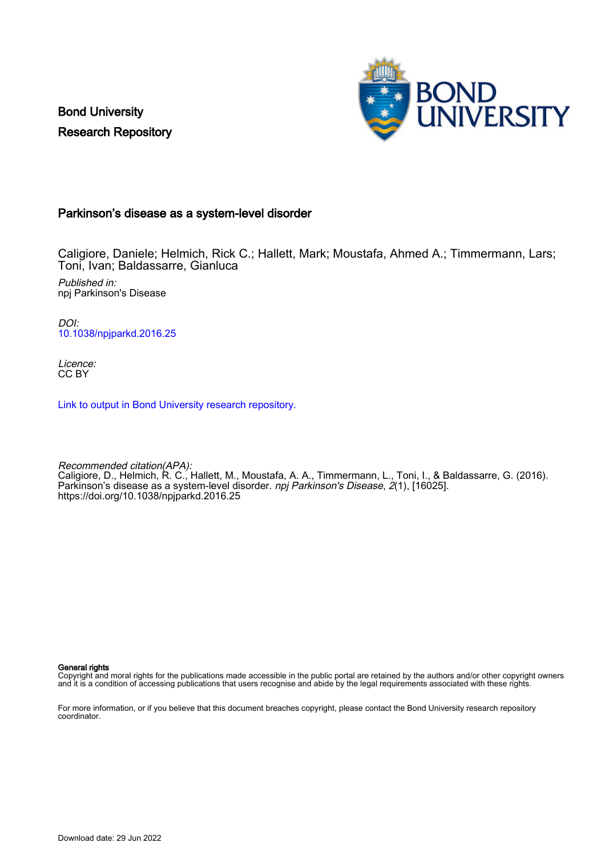Bond University Research Repository



# Parkinson's disease as a system-level disorder

Caligiore, Daniele; Helmich, Rick C.; Hallett, Mark; Moustafa, Ahmed A.; Timmermann, Lars; Toni, Ivan; Baldassarre, Gianluca Published in: npj Parkinson's Disease

DOI: [10.1038/npjparkd.2016.25](https://doi.org/10.1038/npjparkd.2016.25)

Licence: CC BY

[Link to output in Bond University research repository.](https://research.bond.edu.au/en/publications/9d5df2ba-e522-4a03-b288-261c658845da)

Recommended citation(APA): Caligiore, D., Helmich, R. C., Hallett, M., Moustafa, A. A., Timmermann, L., Toni, I., & Baldassarre, G. (2016). Parkinson's disease as a system-level disorder. *npj Parkinson's Disease, 2*(1), [16025]. <https://doi.org/10.1038/npjparkd.2016.25>

General rights

Copyright and moral rights for the publications made accessible in the public portal are retained by the authors and/or other copyright owners and it is a condition of accessing publications that users recognise and abide by the legal requirements associated with these rights.

For more information, or if you believe that this document breaches copyright, please contact the Bond University research repository coordinator.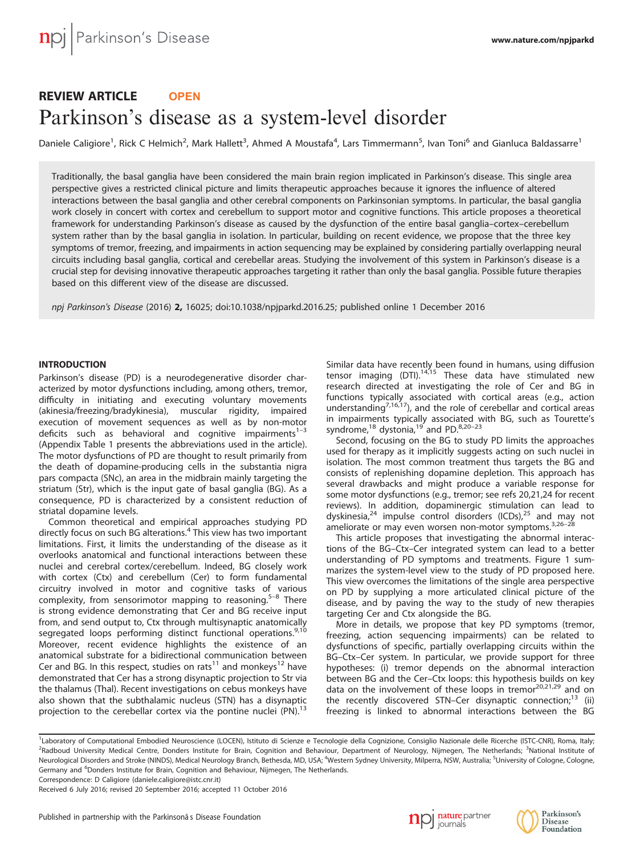# REVIEW ARTICLE **OPEN** Parkinson's disease as a system-level disorder

Daniele Caligiore<sup>1</sup>, Rick C Helmich<sup>2</sup>, Mark Hallett<sup>3</sup>, Ahmed A Moustafa<sup>4</sup>, Lars Timmermann<sup>5</sup>, Ivan Toni<sup>6</sup> and Gianluca Baldassarre<sup>1</sup>

Traditionally, the basal ganglia have been considered the main brain region implicated in Parkinson's disease. This single area perspective gives a restricted clinical picture and limits therapeutic approaches because it ignores the influence of altered interactions between the basal ganglia and other cerebral components on Parkinsonian symptoms. In particular, the basal ganglia work closely in concert with cortex and cerebellum to support motor and cognitive functions. This article proposes a theoretical framework for understanding Parkinson's disease as caused by the dysfunction of the entire basal ganglia–cortex–cerebellum system rather than by the basal ganglia in isolation. In particular, building on recent evidence, we propose that the three key symptoms of tremor, freezing, and impairments in action sequencing may be explained by considering partially overlapping neural circuits including basal ganglia, cortical and cerebellar areas. Studying the involvement of this system in Parkinson's disease is a crucial step for devising innovative therapeutic approaches targeting it rather than only the basal ganglia. Possible future therapies based on this different view of the disease are discussed.

npj Parkinson's Disease (2016) 2, 16025; doi[:10.1038/npjparkd.2016.25;](http://dx.doi.org/10.1038/npjparkd.2016.25) published online 1 December 2016

# INTRODUCTION

Parkinson's disease (PD) is a neurodegenerative disorder characterized by motor dysfunctions including, among others, tremor, difficulty in initiating and executing voluntary movements (akinesia/freezing/bradykinesia), muscular rigidity, impaired execution of movement sequences as well as by non-mo[tor](#page-7-0) deficits such as behavioral and cognitive impairments $1-3$ (Appendix Table 1 presents the abbreviations used in the article). The motor dysfunctions of PD are thought to result primarily from the death of dopamine-producing cells in the substantia nigra pars compacta (SNc), an area in the midbrain mainly targeting the striatum (Str), which is the input gate of basal ganglia (BG). As a consequence, PD is characterized by a consistent reduction of striatal dopamine levels.

Common theoretical and empirical approaches studying PD directly focus on such BG alterations.[4](#page-7-0) This view has two important limitations. First, it limits the understanding of the disease as it overlooks anatomical and functional interactions between these nuclei and cerebral cortex/cerebellum. Indeed, BG closely work with cortex (Ctx) and cerebellum (Cer) to form fundamental circuitry involved in motor and cognitive tasks o[f v](#page-7-0)arious complexity, from sensorimotor mapping to reasoning.<sup>5-8</sup> There is strong evidence demonstrating that Cer and BG receive input from, and send output to, Ctx through multisynaptic anatomically segregated loops performing distinct functional operations.<sup>[9,10](#page-7-0)</sup> Moreover, recent evidence highlights the existence of an anatomical substrate for a bidirectional communication between Cer and BG. In this respect, studies on rats<sup>[11](#page-7-0)</sup> and monkeys<sup>[12](#page-7-0)</sup> have demonstrated that Cer has a strong disynaptic projection to Str via the thalamus (Thal). Recent investigations on cebus monkeys have also shown that the subthalamic nucleus (STN) has a disynaptic projection to the cerebellar cortex via the pontine nuclei (PN).<sup>[13](#page-7-0)</sup> Similar data have recently been found in humans, using diffusion tensor imaging (DTI).[14,15](#page-7-0) These data have stimulated new research directed at investigating the role of Cer and BG in functions typically associated with cortical areas (e.g., action understanding<sup>[7](#page-7-0),[16](#page-7-0),17</sup>), and the role of cerebellar and cortical areas in impairments typically associated with BG, such as Tourette's syndrome,<sup>18</sup> dystonia,<sup>[19](#page-7-0)</sup> and PD.<sup>[8,](#page-7-0)20-[23](#page-7-0)</sup>

Second, focusing on the BG to study PD limits the approaches used for therapy as it implicitly suggests acting on such nuclei in isolation. The most common treatment thus targets the BG and consists of replenishing dopamine depletion. This approach has several drawbacks and might produce a variable response for some motor dysfunctions (e.g., tremor; see [refs 20](#page-7-0),[21](#page-7-0),[24](#page-7-0) for recent reviews). In addition, dopaminergic stimulation can lead to dyskinesia,<sup>[24](#page-7-0)</sup> impulse control disorders (ICDs),<sup>[25](#page-7-0)</sup> and [may](#page-7-0) not ameliorate or may even worsen non-motor symptoms. $3,26-2$  $3,26-2$ 

This article proposes that investigating the abnormal interactions of the BG–Ctx–Cer integrated system can lead to a better understanding of PD symptoms and treatments. [Figure 1](#page-2-0) summarizes the system-level view to the study of PD proposed here. This view overcomes the limitations of the single area perspective on PD by supplying a more articulated clinical picture of the disease, and by paving the way to the study of new therapies targeting Cer and Ctx alongside the BG.

More in details, we propose that key PD symptoms (tremor, freezing, action sequencing impairments) can be related to dysfunctions of specific, partially overlapping circuits within the BG–Ctx–Cer system. In particular, we provide support for three hypotheses: (i) tremor depends on the abnormal interaction between BG and the Cer–Ctx loops: this hypothesis builds on key data on the involvement of these loops in tremor<sup>[20,21,29](#page-7-0)</sup> and on the recently discovered STN-Cer disynaptic connection;<sup>[13](#page-7-0)</sup> (ii) freezing is linked to abnormal interactions between the BG

Correspondence: D Caligiore [\(daniele.caligiore@istc.cnr.it](mailto:daniele.caligiore@istc.cnr.it))





<sup>&</sup>lt;sup>1</sup>Laboratory of Computational Embodied Neuroscience (LOCEN), Istituto di Scienze e Tecnologie della Cognizione, Consiglio Nazionale delle Ricerche (ISTC-CNR), Roma, Italy; <sup>2</sup>Radboud University Medical Centre, Donders Institute for Brain, Cognition and Behaviour, Department of Neurology, Nijmegen, The Netherlands; <sup>3</sup>National Institute of Neurological Disorders and Stroke (NINDS), Medical Neurology Branch, Bethesda, MD, USA; <sup>4</sup>Western Sydney University, Milperra, NSW, Australia; <sup>5</sup>University of Cologne, Cologne, Germany and <sup>6</sup>Donders Institute for Brain, Cognition and Behaviour, Nijmegen, The Netherlands.

Received 6 July 2016; revised 20 September 2016; accepted 11 October 2016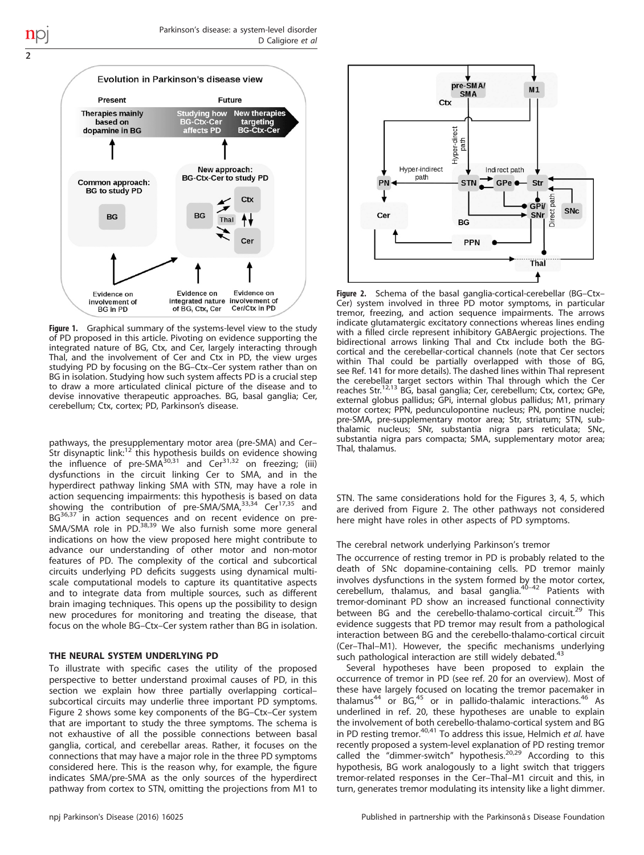<span id="page-2-0"></span>2



Figure 1. Graphical summary of the systems-level view to the studv of PD proposed in this article. Pivoting on evidence supporting the integrated nature of BG, Ctx, and Cer, largely interacting through Thal, and the involvement of Cer and Ctx in PD, the view urges studying PD by focusing on the BG–Ctx–Cer system rather than on BG in isolation. Studying how such system affects PD is a crucial step to draw a more articulated clinical picture of the disease and to devise innovative therapeutic approaches. BG, basal ganglia; Cer, cerebellum; Ctx, cortex; PD, Parkinson's disease.

pathways, the presupplementary motor area (pre-SMA) and Cer– Str disynaptic link:[12](#page-7-0) this hypothesis builds on evidence showing the influence of pre-SMA<sup>[30,31](#page-7-0)</sup> and Cer<sup>[31,32](#page-7-0)</sup> on freezing; (iii) dysfunctions in the circuit linking Cer to SMA, and in the hyperdirect pathway linking SMA with STN, may have a role in action sequencing impairments: this hypothesis is based on data<br>showing the contribution of pre-SMA/SMA,<sup>[33](#page-7-0),[34](#page-7-0)</sup> Cer<sup>[17](#page-7-0),[35](#page-7-0)</sup> and BG<sup>[36,37](#page-7-0)</sup> in action sequences and on recent evidence on pre-SMA/SMA role in PD.[38,39](#page-7-0) We also furnish some more general indications on how the view proposed here might contribute to advance our understanding of other motor and non-motor features of PD. The complexity of the cortical and subcortical circuits underlying PD deficits suggests using dynamical multiscale computational models to capture its quantitative aspects and to integrate data from multiple sources, such as different brain imaging techniques. This opens up the possibility to design new procedures for monitoring and treating the disease, that focus on the whole BG–Ctx–Cer system rather than BG in isolation.

## THE NEURAL SYSTEM UNDERLYING PD

To illustrate with specific cases the utility of the proposed perspective to better understand proximal causes of PD, in this section we explain how three partially overlapping cortical– subcortical circuits may underlie three important PD symptoms. Figure 2 shows some key components of the BG–Ctx–Cer system that are important to study the three symptoms. The schema is not exhaustive of all the possible connections between basal ganglia, cortical, and cerebellar areas. Rather, it focuses on the connections that may have a major role in the three PD symptoms considered here. This is the reason why, for example, the figure indicates SMA/pre-SMA as the only sources of the hyperdirect pathway from cortex to STN, omitting the projections from M1 to



Figure 2. Schema of the basal ganglia-cortical-cerebellar (BG–Ctx– Cer) system involved in three PD motor symptoms, in particular tremor, freezing, and action sequence impairments. The arrows indicate glutamatergic excitatory connections whereas lines ending with a filled circle represent inhibitory GABAergic projections. The bidirectional arrows linking Thal and Ctx include both the BGcortical and the cerebellar-cortical channels (note that Cer sectors within Thal could be partially overlapped with those of BG, see [Ref. 141](#page-9-0) for more details). The dashed lines within Thal represent the cerebellar target sectors within Thal through which the Cer<br>reaches Str.<sup>12,13</sup> BG, basal ganglia; Cer, cerebellum; Ctx, cortex; GPe, external globus pallidus; GPi, internal globus pallidus; M1, primary motor cortex; PPN, pedunculopontine nucleus; PN, pontine nuclei; pre-SMA, pre-supplementary motor area; Str, striatum; STN, subthalamic nucleus; SNr, substantia nigra pars reticulata; SNc, substantia nigra pars compacta; SMA, supplementary motor area; Thal, thalamus.

STN. The same considerations hold for the [Figures 3, 4](#page-3-0), [5,](#page-4-0) which are derived from Figure 2. The other pathways not considered here might have roles in other aspects of PD symptoms.

## The cerebral network underlying Parkinson's tremor

The occurrence of resting tremor in PD is probably related to the death of SNc dopamine-containing cells. PD tremor mainly involves dysfunctions in the system formed by the motor cortex, cerebellum, thalamus, and basal ganglia. $4^{6-42}$  Patients with tremor-dominant PD show an increased functional connectivity between BG and the cerebello-thalamo-cortical circuit.<sup>[29](#page-7-0)</sup> This evidence suggests that PD tremor may result from a pathological interaction between BG and the cerebello-thalamo-cortical circuit (Cer–Thal–M1). However, the specific mechanisms underlying such pathological interaction are still widely debated.<sup>4</sup>

Several hypotheses have been proposed to explain the occurrence of tremor in PD (see [ref. 20](#page-7-0) for an overview). Most of these have largely focused on locating the tremor pacemaker in thalamus<sup>[44](#page-7-0)</sup> or  $BG<sub>1</sub><sup>45</sup>$  $BG<sub>1</sub><sup>45</sup>$  $BG<sub>1</sub><sup>45</sup>$  or in pallido-thalamic interactions.<sup>[46](#page-7-0)</sup> As underlined in [ref. 20](#page-7-0), these hypotheses are unable to explain the involvement of both cerebello-thalamo-cortical system and BG in PD resting tremor.<sup>[40,41](#page-7-0)</sup> To address this issue, Helmich et al. have recently proposed a system-level explanation of PD resting tremor called the "dimmer-switch" hypothesis.<sup>[20](#page-7-0),[29](#page-7-0)</sup> According to this hypothesis, BG work analogously to a light switch that triggers tremor-related responses in the Cer–Thal–M1 circuit and this, in turn, generates tremor modulating its intensity like a light dimmer.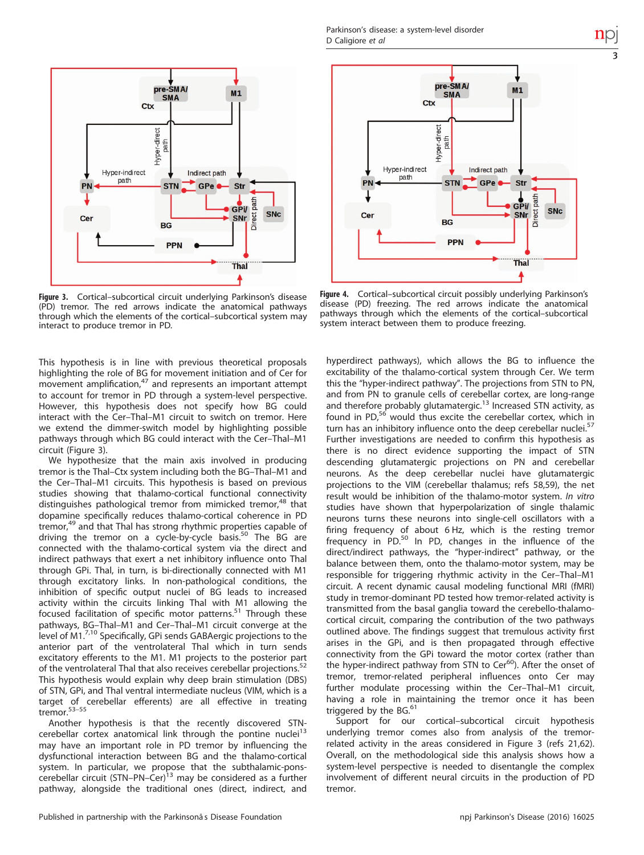<span id="page-3-0"></span>

Figure 3. Cortical–subcortical circuit underlying Parkinson's disease (PD) tremor. The red arrows indicate the anatomical pathways through which the elements of the cortical–subcortical system may interact to produce tremor in PD.

This hypothesis is in line with previous theoretical proposals highlighting the role of BG for movement initiation and of Cer for movement amplification, $47$  and represents an important attempt to account for tremor in PD through a system-level perspective. However, this hypothesis does not specify how BG could interact with the Cer–Thal–M1 circuit to switch on tremor. Here we extend the dimmer-switch model by highlighting possible pathways through which BG could interact with the Cer–Thal–M1 circuit (Figure 3).

We hypothesize that the main axis involved in producing tremor is the Thal–Ctx system including both the BG–Thal–M1 and the Cer–Thal–M1 circuits. This hypothesis is based on previous studies showing that thalamo-cortical functional connectivity distinguishes pathological tremor from mimicked tremor,<sup>[48](#page-7-0)</sup> that dopamine specifically reduces thalamo-cortical coherence in PD tremor,<sup>[49](#page-7-0)</sup> and that Thal has strong rhythmic properties capable of driving the tremor on a cycle-by-cycle basis.<sup>[50](#page-7-0)</sup> The BG are connected with the thalamo-cortical system via the direct and indirect pathways that exert a net inhibitory influence onto Thal through GPi. Thal, in turn, is bi-directionally connected with M1 through excitatory links. In non-pathological conditions, the inhibition of specific output nuclei of BG leads to increased activity within the circuits linking Thal with M1 allowing the focused facilitation of specific motor patterns.<sup>[51](#page-7-0)</sup> Through these pathways, BG–Thal–M1 and Cer–Thal–M1 circuit converge at the level of M1.[7,10](#page-7-0) Specifically, GPi sends GABAergic projections to the anterior part of the ventrolateral Thal which in turn sends excitatory efferents to the M1. M1 projects to the posterior part of the ventrolateral Thal that also receives cerebellar projections.<sup>[52](#page-7-0)</sup> This hypothesis would explain why deep brain stimulation (DBS) of STN, GPi, and Thal ventral intermediate nucleus (VIM, which is a target [of](#page-7-0) cerebellar efferents) are all effective in treating<br>tremor.<sup>53–55</sup>

Another hypothesis is that the recently discovered STN-cerebellar cortex anatomical link through the pontine nuclei<sup>[13](#page-7-0)</sup> may have an important role in PD tremor by influencing the dysfunctional interaction between BG and the thalamo-cortical system. In particular, we propose that the subthalamic-pons-cerebellar circuit (STN–PN–Cer)<sup>[13](#page-7-0)</sup> may be considered as a further pathway, alongside the traditional ones (direct, indirect, and



3

Figure 4. Cortical–subcortical circuit possibly underlying Parkinson'<sup>s</sup> disease (PD) freezing. The red arrows indicate the anatomical pathways through which the elements of the cortical–subcortical system interact between them to produce freezing.

hyperdirect pathways), which allows the BG to influence the excitability of the thalamo-cortical system through Cer. We term this the "hyper-indirect pathway". The projections from STN to PN, and from PN to granule cells of cerebellar cortex, are long-range and therefore probably glutamatergic.<sup>[13](#page-7-0)</sup> Increased STN activity, as found in PD,<sup>[56](#page-7-0)</sup> would thus excite the cerebellar cortex, which in turn has an inhibitory influence onto the deep cerebellar nuclei.<sup>5</sup> Further investigations are needed to confirm this hypothesis as there is no direct evidence supporting the impact of STN descending glutamatergic projections on PN and cerebellar neurons. As the deep cerebellar nuclei have glutamatergic projections to the VIM (cerebellar thalamus; [refs 58,59](#page-8-0)), the net result would be inhibition of the thalamo-motor system. In vitro studies have shown that hyperpolarization of single thalamic neurons turns these neurons into single-cell oscillators with a firing frequency of about 6 Hz, which is the resting tremor frequency in PD.[50](#page-7-0) In PD, changes in the influence of the direct/indirect pathways, the "hyper-indirect" pathway, or the balance between them, onto the thalamo-motor system, may be responsible for triggering rhythmic activity in the Cer–Thal–M1 circuit. A recent dynamic causal modeling functional MRI (fMRI) study in tremor-dominant PD tested how tremor-related activity is transmitted from the basal ganglia toward the cerebello-thalamocortical circuit, comparing the contribution of the two pathways outlined above. The findings suggest that tremulous activity first arises in the GPi, and is then propagated through effective connectivity from the GPi toward the motor cortex (rather than the hyper-indirect pathway from STN to Cer<sup>60</sup>). After the onset of tremor, tremor-related peripheral influences onto Cer may further modulate processing within the Cer–Thal–M1 circuit, having a role in maintaining the tremor once it has been triggered by the BG.<sup>[61](#page-8-0)</sup>

Support for our cortical–subcortical circuit hypothesis underlying tremor comes also from analysis of the tremorrelated activity in the areas considered in Figure 3 [\(refs 21](#page-7-0)[,62\)](#page-8-0). Overall, on the methodological side this analysis shows how a system-level perspective is needed to disentangle the complex involvement of different neural circuits in the production of PD tremor.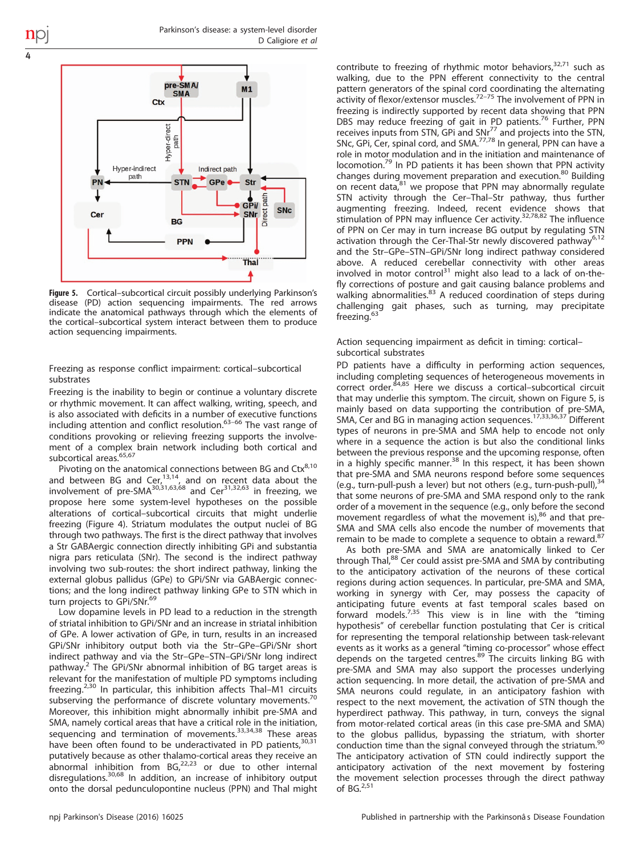<span id="page-4-0"></span>

Figure 5. Cortical–subcortical circuit possibly underlying Parkinson'<sup>s</sup> disease (PD) action sequencing impairments. The red arrows indicate the anatomical pathways through which the elements of the cortical–subcortical system interact between them to produce action sequencing impairments.

Freezing as response conflict impairment: cortical–subcortical substrates

Freezing is the inability to begin or continue a voluntary discrete or rhythmic movement. It can affect walking, writing, speech, and is also associated with deficits in a number of executive functions including attention and conflict resolution.63–[66](#page-8-0) The vast range of conditions provoking or relieving freezing supports the involvement of a complex brain network including both cortical and subcortical areas.<sup>[65,67](#page-8-0)</sup>

Pivoting on the anatomical connections between BG and  $\text{Ctx}^{8,10}$  $\text{Ctx}^{8,10}$  $\text{Ctx}^{8,10}$  $\text{Ctx}^{8,10}$  $\text{Ctx}^{8,10}$ and between BG and Cer,  $13,14$ , and on recent data about the involvement of pre-SMA<sup>[30,31](#page-7-0),[63,68](#page-8-0)</sup> and Cer<sup>31,32,[63](#page-8-0)</sup> in freezing, we propose here some system-level hypotheses on the possible alterations of cortical–subcortical circuits that might underlie freezing ([Figure 4\)](#page-3-0). Striatum modulates the output nuclei of BG through two pathways. The first is the direct pathway that involves a Str GABAergic connection directly inhibiting GPi and substantia nigra pars reticulata (SNr). The second is the indirect pathway involving two sub-routes: the short indirect pathway, linking the external globus pallidus (GPe) to GPi/SNr via GABAergic connections; and the long indirect pathway linking GPe to STN which in turn projects to GPi/SNr.<sup>69</sup>

Low dopamine levels in PD lead to a reduction in the strength of striatal inhibition to GPi/SNr and an increase in striatal inhibition of GPe. A lower activation of GPe, in turn, results in an increased GPi/SNr inhibitory output both via the Str–GPe–GPi/SNr short indirect pathway and via the Str–GPe–STN–GPi/SNr long indirect pathway.<sup>2</sup> The GPi/SNr abnormal inhibition of BG target areas is relevant for the manifestation of multiple PD symptoms including freezing.<sup>[2,30](#page-7-0)</sup> In particular, this inhibition affects Thal-M1 circuits subserving the performance of discrete voluntary movements.<sup>[70](#page-8-0)</sup> Moreover, this inhibition might abnormally inhibit pre-SMA and SMA, namely cortical areas that have a critical role in the initiation, sequencing and termination of movements.<sup>[33](#page-7-0),[34](#page-7-0),[38](#page-7-0)</sup> These areas have been often found to be underactivated in PD patients, [30](#page-7-0),[31](#page-7-0) putatively because as other thalamo-cortical areas they receive an abnormal inhibition from  $BG<sub>2</sub><sup>22,23</sup>$  $BG<sub>2</sub><sup>22,23</sup>$  $BG<sub>2</sub><sup>22,23</sup>$  or due to other internal disregulations.<sup>[30](#page-7-0),[68](#page-8-0)</sup> In addition, an increase of inhibitory output onto the dorsal pedunculopontine nucleus (PPN) and Thal might contribute to freezing of rhythmic motor behaviors,  $32,71$  $32,71$  such as walking, due to the PPN efferent connectivity to the central pattern generators of the spinal cord coordinating the alternating activity of flexor/extensor muscles.[72](#page-8-0)–<sup>75</sup> The involvement of PPN in freezing is indirectly supported by recent data showing that PPN DBS may reduce freezing of gait in PD patients.<sup>[76](#page-8-0)</sup> Further, PPN receives inputs from STN, GPI and SNr $^{77}$  $^{77}$  $^{77}$  and projects into the STN, SNc, GPi, Cer, spinal cord, and SMA.<sup>[77,78](#page-8-0)</sup> In general, PPN can have a role in motor modulation and in the initiation and maintenance of locomotion.[79](#page-8-0) In PD patients it has been shown that PPN activity changes during movement preparation and execution.<sup>[80](#page-8-0)</sup> Building on recent data, $81$  we propose that PPN may abnormally regulate STN activity through the Cer–Thal–Str pathway, thus further augmenting freezing. Indeed, recent evidence shows that stimulation of PPN may influence Cer activity.<sup>[32,](#page-7-0)[78,82](#page-8-0)</sup> The influence of PPN on Cer may in turn increase BG output by regulating STN activation through the Cer-Thal-Str newly discovered pathway<sup>[6](#page-7-0),[12](#page-7-0)</sup> and the Str–GPe–STN–GPi/SNr long indirect pathway considered above. A reduced cerebellar connectivity with other areas involved in motor control $31$  might also lead to a lack of on-thefly corrections of posture and gait causing balance problems and walking abnormalities.<sup>[83](#page-8-0)</sup> A reduced coordination of steps during challenging gait phases, such as turning, may precipitate freezing.<sup>[63](#page-8-0)</sup>

Action sequencing impairment as deficit in timing: cortical– subcortical substrates

PD patients have a difficulty in performing action sequences, including completing sequences of heterogeneous movements in correct order.<sup>[84,85](#page-8-0)</sup> Here we discuss a cortical–subcortical circuit that may underlie this symptom. The circuit, shown on Figure 5, is mainly based on data supporting the contribution of pre-SMA, SMA, Cer and BG in managing action sequences.<sup>[17,33,36,37](#page-7-0)</sup> Different types of neurons in pre-SMA and SMA help to encode not only where in a sequence the action is but also the conditional links between the previous response and the upcoming response, often in a highly specific manner. $38$  In this respect, it has been shown that pre-SMA and SMA neurons respond before some sequences (e.g., turn-pull-push a lever) but not others (e.g., turn-push-pull),<sup>[34](#page-7-0)</sup> that some neurons of pre-SMA and SMA respond only to the rank order of a movement in the sequence (e.g., only before the second movement regardless of what the movement is),<sup>[86](#page-8-0)</sup> and that pre-SMA and SMA cells also encode the number of movements that remain to be made to complete a sequence to obtain a reward.<sup>[87](#page-8-0)</sup>

As both pre-SMA and SMA are anatomically linked to Cer through Thal,<sup>[88](#page-8-0)</sup> Cer could assist pre-SMA and SMA by contributing to the anticipatory activation of the neurons of these cortical regions during action sequences. In particular, pre-SMA and SMA, working in synergy with Cer, may possess the capacity of anticipating future events at fast temporal scales based on forward models.[7,35](#page-7-0) This view is in line with the "timing hypothesis" of cerebellar function postulating that Cer is critical for representing the temporal relationship between task-relevant events as it works as a general "timing co-processor" whose effect depends on the targeted centres.[89](#page-8-0) The circuits linking BG with pre-SMA and SMA may also support the processes underlying action sequencing. In more detail, the activation of pre-SMA and SMA neurons could regulate, in an anticipatory fashion with respect to the next movement, the activation of STN though the hyperdirect pathway. This pathway, in turn, conveys the signal from motor-related cortical areas (in this case pre-SMA and SMA) to the globus pallidus, bypassing the striatum, with shorter conduction time than the signal conveyed through the striatum.<sup>[90](#page-8-0)</sup> The anticipatory activation of STN could indirectly support the anticipatory activation of the next movement by fostering the movement selection processes through the direct pathway of BG. $^{2,51}$  $^{2,51}$  $^{2,51}$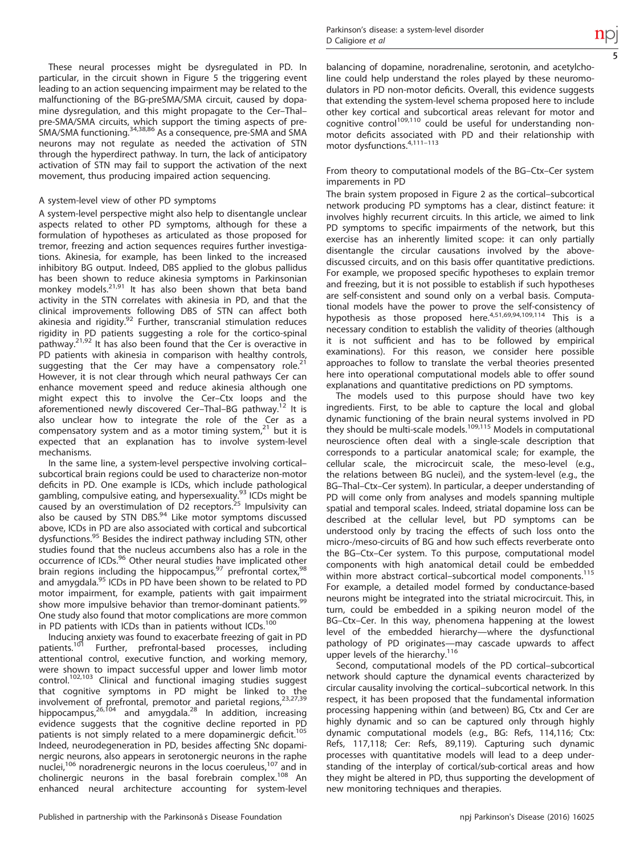These neural processes might be dysregulated in PD. In particular, in the circuit shown in [Figure 5](#page-4-0) the triggering event leading to an action sequencing impairment may be related to the malfunctioning of the BG-preSMA/SMA circuit, caused by dopamine dysregulation, and this might propagate to the Cer–Thal– pre-SMA/SMA circuits, which support the timing aspects of pre-SMA/SMA functioning.[34,38](#page-7-0)[,86](#page-8-0) As a consequence, pre-SMA and SMA neurons may not regulate as needed the activation of STN through the hyperdirect pathway. In turn, the lack of anticipatory activation of STN may fail to support the activation of the next movement, thus producing impaired action sequencing.

#### A system-level view of other PD symptoms

A system-level perspective might also help to disentangle unclear aspects related to other PD symptoms, although for these a formulation of hypotheses as articulated as those proposed for tremor, freezing and action sequences requires further investigations. Akinesia, for example, has been linked to the increased inhibitory BG output. Indeed, DBS applied to the globus pallidus has been shown to reduce akinesia symptoms in Parkinsonian monkey models.<sup>[21](#page-7-0),[91](#page-8-0)</sup> It has also been shown that beta band activity in the STN correlates with akinesia in PD, and that the clinical improvements following DBS of STN can affect both akinesia and rigidity.<sup>[92](#page-8-0)</sup> Further, transcranial stimulation reduces rigidity in PD patients suggesting a role for the cortico-spinal pathway.[21,](#page-7-0)[92](#page-8-0) It has also been found that the Cer is overactive in PD patients with akinesia in comparison with healthy controls, suggesting that the Cer may have a compensatory role.<sup>2</sup> However, it is not clear through which neural pathways Cer can enhance movement speed and reduce akinesia although one might expect this to involve the Cer–Ctx loops and the aforementioned newly discovered Cer-Thal-BG pathway.<sup>[12](#page-7-0)</sup> It is also unclear how to integrate the role of the Cer as a compensatory system and as a motor timing system, $21$  but it is expected that an explanation has to involve system-level mechanisms.

In the same line, a system-level perspective involving cortical– subcortical brain regions could be used to characterize non-motor deficits in PD. One example is ICDs, which include pathological gambling, compulsive eating, and hypersexuality.<sup>[93](#page-8-0)</sup> ICDs might be caused by an overstimulation of D2 receptors.<sup>[25](#page-7-0)</sup> Impulsivity can also be caused by STN DBS. $^{94}$  $^{94}$  $^{94}$  Like motor symptoms discussed above, ICDs in PD are also associated with cortical and subcortical dysfunctions.[95](#page-8-0) Besides the indirect pathway including STN, other studies found that the nucleus accumbens also has a role in the occurrence of ICDs.<sup>[96](#page-8-0)</sup> Other neural studies have implicated other brain regions including the hippocampus, $97$  prefrontal cortex, $98$ and amygdala.<sup>[95](#page-8-0)</sup> ICDs in PD have been shown to be related to PD motor impairment, for example, patients with gait impairment show more impulsive behavior than tremor-dominant patients.<sup>9</sup> One study also found that motor complications are more common in PD patients with ICDs than in patients without ICDs.<sup>[100](#page-8-0)</sup>

Inducing anxiety was found to exacerbate freezing of gait in PD patients.<sup>101</sup> Further, prefrontal-based processes, including Further, prefrontal-based processes, including attentional control, executive function, and working memory, were shown to impact successful upper and lower limb motor control.[102](#page-8-0),[103](#page-8-0) Clinical and functional imaging studies suggest that cognitive symptoms in PD might be linked to the involvement of prefrontal, premotor and parietal regions,<sup>[23,27,39](#page-7-0)</sup> hippocampus,<sup>[26,](#page-7-0)[104](#page-8-0)</sup> and amygdala.<sup>[28](#page-7-0)</sup> In addition, increasing evidence suggests that the cognitive decline reported in PD patients is not simply related to a mere dopaminergic deficit.<sup>[105](#page-8-0)</sup> Indeed, neurodegeneration in PD, besides affecting SNc dopaminergic neurons, also appears in serotonergic neurons in the raphe nuclei,<sup>106</sup> noradrenergic neurons in the locus coeruleus,<sup>[107](#page-8-0)</sup> and in cholinergic neurons in the basal forebrain complex.[108](#page-8-0) An enhanced neural architecture accounting for system-level 5

balancing of dopamine, noradrenaline, serotonin, and acetylcholine could help understand the roles played by these neuromodulators in PD non-motor deficits. Overall, this evidence suggests that extending the system-level schema proposed here to include other key cortical and subcortical areas relevant for motor and  $\overline{\text{c}}$  control<sup>[109](#page-8-0),[110](#page-8-0)</sup> could be useful for understanding nonmotor deficits associated with PD and their relationship with motor dysfunctions.[4,](#page-7-0)111–[113](#page-8-0)

# From theory to computational models of the BG–Ctx–Cer system imparements in PD

The brain system proposed in [Figure 2](#page-2-0) as the cortical–subcortical network producing PD symptoms has a clear, distinct feature: it involves highly recurrent circuits. In this article, we aimed to link PD symptoms to specific impairments of the network, but this exercise has an inherently limited scope: it can only partially disentangle the circular causations involved by the abovediscussed circuits, and on this basis offer quantitative predictions. For example, we proposed specific hypotheses to explain tremor and freezing, but it is not possible to establish if such hypotheses are self-consistent and sound only on a verbal basis. Computational models have the power to prove the self-consistency of hypothesis as those proposed here.<sup>[4](#page-7-0),[51,](#page-7-0)[69,94,109,114](#page-8-0)</sup> This is a necessary condition to establish the validity of theories (although it is not sufficient and has to be followed by empirical examinations). For this reason, we consider here possible approaches to follow to translate the verbal theories presented here into operational computational models able to offer sound explanations and quantitative predictions on PD symptoms.

The models used to this purpose should have two key ingredients. First, to be able to capture the local and global dynamic functioning of the brain neural systems involved in PD they should be multi-scale models[.109,115](#page-8-0) Models in computational neuroscience often deal with a single-scale description that corresponds to a particular anatomical scale; for example, the cellular scale, the microcircuit scale, the meso-level (e.g., the relations between BG nuclei), and the system-level (e.g., the BG–Thal–Ctx–Cer system). In particular, a deeper understanding of PD will come only from analyses and models spanning multiple spatial and temporal scales. Indeed, striatal dopamine loss can be described at the cellular level, but PD symptoms can be understood only by tracing the effects of such loss onto the micro-/meso-circuits of BG and how such effects reverberate onto the BG–Ctx–Cer system. To this purpose, computational model components with high anatomical detail could be embedded within more abstract cortical–subcortical model components.<sup>[115](#page-8-0)</sup> For example, a detailed model formed by conductance-based neurons might be integrated into the striatal microcircuit. This, in turn, could be embedded in a spiking neuron model of the BG–Ctx–Cer. In this way, phenomena happening at the lowest level of the embedded hierarchy—where the dysfunctional pathology of PD originates—may cascade upwards to affect upper levels of the hierarchy.<sup>[116](#page-9-0)</sup>

Second, computational models of the PD cortical–subcortical network should capture the dynamical events characterized by circular causality involving the cortical–subcortical network. In this respect, it has been proposed that the fundamental information processing happening within (and between) BG, Ctx and Cer are highly dynamic and so can be captured only through highly dynamic computational models (e.g., BG: Refs, [114](#page-8-0)[,116](#page-9-0); Ctx: Refs, [117,118;](#page-9-0) Cer: Refs, [89,](#page-8-0)[119](#page-9-0)). Capturing such dynamic processes with quantitative models will lead to a deep understanding of the interplay of cortical/sub-cortical areas and how they might be altered in PD, thus supporting the development of new monitoring techniques and therapies.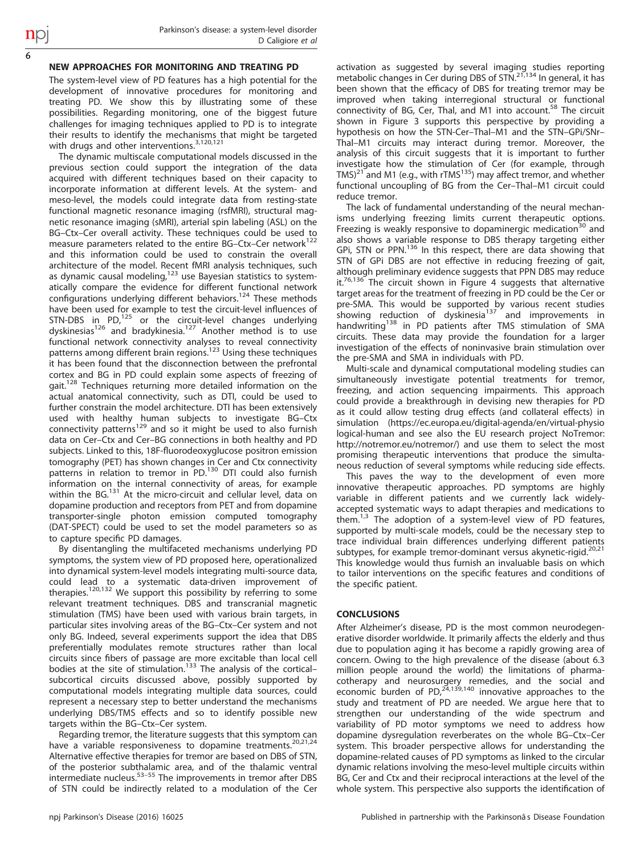## NEW APPROACHES FOR MONITORING AND TREATING PD

The system-level view of PD features has a high potential for the development of innovative procedures for monitoring and treating PD. We show this by illustrating some of these possibilities. Regarding monitoring, one of the biggest future challenges for imaging techniques applied to PD is to integrate their results to identify the mechanisms that might be targeted with drugs and other interventions.<sup>[3](#page-7-0)[,120,121](#page-9-0)</sup>

The dynamic multiscale computational models discussed in the previous section could support the integration of the data acquired with different techniques based on their capacity to incorporate information at different levels. At the system- and meso-level, the models could integrate data from resting-state functional magnetic resonance imaging (rsfMRI), structural magnetic resonance imaging (sMRI), arterial spin labeling (ASL) on the BG–Ctx–Cer overall activity. These techniques could be used to measure parameters related to the entire BG-Ctx-Cer network<sup>122</sup> and this information could be used to constrain the overall architecture of the model. Recent fMRI analysis techniques, such as dynamic causal modeling, $123$  use Bayesian statistics to systematically compare the evidence for different functional network configurations underlying different behaviors.<sup>[124](#page-9-0)</sup> These methods have been used for example to test the circuit-level influences of  $STN\text{-}DBS$  in  $PD<sub>r</sub><sup>125</sup>$  $PD<sub>r</sub><sup>125</sup>$  $PD<sub>r</sub><sup>125</sup>$  or the circuit-level changes underlying dyskinesias<sup>[126](#page-9-0)</sup> and bradykinesia.<sup>[127](#page-9-0)</sup> Another method is to use functional network connectivity analyses to reveal connectivity patterns among different brain regions.<sup>[123](#page-9-0)</sup> Using these techniques it has been found that the disconnection between the prefrontal cortex and BG in PD could explain some aspects of freezing of gait.<sup>128</sup> Techniques returning more detailed information on the actual anatomical connectivity, such as DTI, could be used to further constrain the model architecture. DTI has been extensively used with healthy human subjects to investigate BG–Ctx connectivity patterns<sup>[129](#page-9-0)</sup> and so it might be used to also furnish data on Cer–Ctx and Cer–BG connections in both healthy and PD subjects. Linked to this, 18F-fluorodeoxyglucose positron emission tomography (PET) has shown changes in Cer and Ctx connectivity patterns in relation to tremor in PD.[130](#page-9-0) DTI could also furnish information on the internal connectivity of areas, for example within the BG.<sup>[131](#page-9-0)</sup> At the micro-circuit and cellular level, data on dopamine production and receptors from PET and from dopamine transporter-single photon emission computed tomography (DAT-SPECT) could be used to set the model parameters so as to capture specific PD damages.

By disentangling the multifaceted mechanisms underlying PD symptoms, the system view of PD proposed here, operationalized into dynamical system-level models integrating multi-source data, could lead to a systematic data-driven improvement of therapies.<sup>[120,132](#page-9-0)</sup> We support this possibility by referring to some relevant treatment techniques. DBS and transcranial magnetic stimulation (TMS) have been used with various brain targets, in particular sites involving areas of the BG–Ctx–Cer system and not only BG. Indeed, several experiments support the idea that DBS preferentially modulates remote structures rather than local circuits since fibers of passage are more excitable than local cell bodies at the site of stimulation.<sup>[133](#page-9-0)</sup> The analysis of the cortical– subcortical circuits discussed above, possibly supported by computational models integrating multiple data sources, could represent a necessary step to better understand the mechanisms underlying DBS/TMS effects and so to identify possible new targets within the BG–Ctx–Cer system.

Regarding tremor, the literature suggests that this symptom can have a variable responsiveness to dopamine treatments.<sup>[20,21](#page-7-0),[24](#page-7-0)</sup> Alternative effective therapies for tremor are based on DBS of STN, of the posterior sub[thalam](#page-7-0)ic area, and of the thalamic ventral intermediate nucleus.<sup>53-55</sup> The improvements in tremor after DBS of STN could be indirectly related to a modulation of the Cer

activation as suggested by several imaging studies reporting<br>metabolic changes in Cer during DBS of STN.<sup>[21,](#page-7-0)[134](#page-9-0)</sup> In general, it has been shown that the efficacy of DBS for treating tremor may be improved when taking interregional structural or functional connectivity of BG, Cer, Thal, and M1 into account.<sup>[58](#page-8-0)</sup> The circuit shown in [Figure 3](#page-3-0) supports this perspective by providing a hypothesis on how the STN-Cer–Thal–M1 and the STN–GPi/SNr– Thal–M1 circuits may interact during tremor. Moreover, the analysis of this circuit suggests that it is important to further investigate how the stimulation of Cer (for example, through  $TMS)^{21}$  $TMS)^{21}$  $TMS)^{21}$  and M1 (e.g., with rTMS<sup>135</sup>) may affect tremor, and whether functional uncoupling of BG from the Cer–Thal–M1 circuit could reduce tremor.

The lack of fundamental understanding of the neural mechanisms underlying freezing limits current therapeutic options. Freezing is weakly responsive to dopaminergic medication<sup>[30](#page-7-0)</sup> and also shows a variable response to DBS therapy targeting either GPi, STN or PPN.<sup>[136](#page-9-0)</sup> In this respect, there are data showing that STN of GPi DBS are not effective in reducing freezing of gait, although preliminary evidence suggests that PPN DBS may reduce it.<sup>76[,136](#page-9-0)</sup> The circuit shown in [Figure 4](#page-3-0) suggests that alternative target areas for the treatment of freezing in PD could be the Cer or pre-SMA. This would be supported by various recent studies<br>showing reduction of dyskinesia<sup>[137](#page-9-0)</sup> and improvements in handwriting<sup>[138](#page-9-0)</sup> in PD patients after TMS stimulation of SMA circuits. These data may provide the foundation for a larger investigation of the effects of noninvasive brain stimulation over the pre-SMA and SMA in individuals with PD.

Multi-scale and dynamical computational modeling studies can simultaneously investigate potential treatments for tremor, freezing, and action sequencing impairments. This approach could provide a breakthrough in devising new therapies for PD as it could allow testing drug effects (and collateral effects) in simulation [\(https://ec.europa.eu/digital-agenda/en/virtual-physio](https://ec.europa.eu/digital-agenda/en/virtual-physiological-human) [logical-human](https://ec.europa.eu/digital-agenda/en/virtual-physiological-human) and see also the EU research project NoTremor: [http://notremor.eu/notremor/\)](http://notremor.eu/notremor/) and use them to select the most promising therapeutic interventions that produce the simultaneous reduction of several symptoms while reducing side effects.

This paves the way to the development of even more innovative therapeutic approaches. PD symptoms are highly variable in different patients and we currently lack widelyaccepted systematic ways to adapt therapies and medications to them. $1,3$  $1,3$  $1,3$  The adoption of a system-level view of PD features, supported by multi-scale models, could be the necessary step to trace individual brain differences underlying different patients subtypes, for example tremor-dominant versus akynetic-rigid.<sup>[20](#page-7-0),[21](#page-7-0)</sup> This knowledge would thus furnish an invaluable basis on which to tailor interventions on the specific features and conditions of the specific patient.

#### **CONCLUSIONS**

After Alzheimer's disease, PD is the most common neurodegenerative disorder worldwide. It primarily affects the elderly and thus due to population aging it has become a rapidly growing area of concern. Owing to the high prevalence of the disease (about 6.3 million people around the world) the limitations of pharmacotherapy and neurosurgery remedies, and the social and economic burden of  $PD<sub>1</sub><sup>24,139,140</sup>$  $PD<sub>1</sub><sup>24,139,140</sup>$  $PD<sub>1</sub><sup>24,139,140</sup>$  $PD<sub>1</sub><sup>24,139,140</sup>$  innovative approaches to the study and treatment of PD are needed. We argue here that to strengthen our understanding of the wide spectrum and variability of PD motor symptoms we need to address how dopamine dysregulation reverberates on the whole BG–Ctx–Cer system. This broader perspective allows for understanding the dopamine-related causes of PD symptoms as linked to the circular dynamic relations involving the meso-level multiple circuits within BG, Cer and Ctx and their reciprocal interactions at the level of the whole system. This perspective also supports the identification of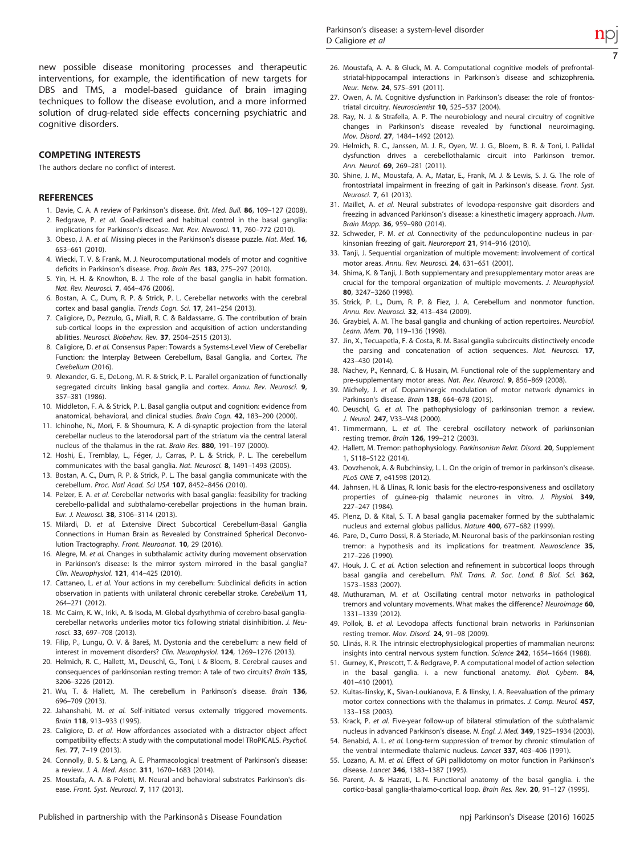<span id="page-7-0"></span>new possible disease monitoring processes and therapeutic interventions, for example, the identification of new targets for DBS and TMS, a model-based guidance of brain imaging techniques to follow the disease evolution, and a more informed solution of drug-related side effects concerning psychiatric and cognitive disorders.

# COMPETING INTERESTS

The authors declare no conflict of interest.

# **REFERENCES**

- 1. Davie, C. A. A review of Parkinson's disease. Brit. Med. Bull. 86, 109–127 (2008). 2. Redgrave, P. et al. Goal-directed and habitual control in the basal ganglia: implications for Parkinson's disease. Nat. Rev. Neurosci. 11, 760-772 (2010).
- 3. Obeso, J. A. et al. Missing pieces in the Parkinson's disease puzzle. Nat. Med. 16, 653–661 (2010).
- 4. Wiecki, T. V. & Frank, M. J. Neurocomputational models of motor and cognitive deficits in Parkinson's disease. Prog. Brain Res. 183, 275–297 (2010).
- 5. Yin, H. H. & Knowlton, B. J. The role of the basal ganglia in habit formation. Nat. Rev. Neurosci. 7, 464–476 (2006).
- 6. Bostan, A. C., Dum, R. P. & Strick, P. L. Cerebellar networks with the cerebral cortex and basal ganglia. Trends Cogn. Sci. 17, 241-254 (2013).
- 7. Caligiore, D., Pezzulo, G., Miall, R. C. & Baldassarre, G. The contribution of brain sub-cortical loops in the expression and acquisition of action understanding abilities. Neurosci. Biobehav. Rev. 37, 2504–2515 (2013).
- 8. Caligiore, D. et al. Consensus Paper: Towards a Systems-Level View of Cerebellar Function: the Interplay Between Cerebellum, Basal Ganglia, and Cortex. The Cerebellum (2016).
- 9. Alexander, G. E., DeLong, M. R. & Strick, P. L. Parallel organization of functionally segregated circuits linking basal ganglia and cortex. Annu. Rev. Neurosci. 9, 357–381 (1986).
- 10. Middleton, F. A. & Strick, P. L. Basal ganglia output and cognition: evidence from anatomical, behavioral, and clinical studies. Brain Coan. 42, 183-200 (2000).
- 11. Ichinohe, N., Mori, F. & Shoumura, K. A di-synaptic projection from the lateral cerebellar nucleus to the laterodorsal part of the striatum via the central lateral nucleus of the thalamus in the rat. Brain Res. 880, 191–197 (2000).
- 12. Hoshi, E., Tremblay, L., Féger, J., Carras, P. L. & Strick, P. L. The cerebellum communicates with the basal ganglia. Nat. Neurosci. 8, 1491–1493 (2005).
- 13. Bostan, A. C., Dum, R. P. & Strick, P. L. The basal ganglia communicate with the cerebellum. Proc. Natl Acad. Sci USA 107, 8452–8456 (2010).
- 14. Pelzer, E. A. et al. Cerebellar networks with basal ganglia: feasibility for tracking cerebello-pallidal and subthalamo-cerebellar projections in the human brain. Eur. J. Neurosci. 38, 3106–3114 (2013).
- 15. Milardi, D. et al. Extensive Direct Subcortical Cerebellum-Basal Ganglia Connections in Human Brain as Revealed by Constrained Spherical Deconvolution Tractography. Front. Neuroanat. 10, 29 (2016).
- 16. Alegre, M. et al. Changes in subthalamic activity during movement observation in Parkinson's disease: Is the mirror system mirrored in the basal ganglia? Clin. Neurophysiol. 121, 414–425 (2010).
- 17. Cattaneo, L. et al. Your actions in my cerebellum: Subclinical deficits in action observation in patients with unilateral chronic cerebellar stroke. Cerebellum 11, 264–271 (2012).
- 18. Mc Cairn, K. W., Iriki, A. & Isoda, M. Global dysrhythmia of cerebro-basal gangliacerebellar networks underlies motor tics following striatal disinhibition. J. Neurosci. 33, 697–708 (2013).
- 19. Filip, P., Lungu, O. V. & Bareš, M. Dystonia and the cerebellum: a new field of interest in movement disorders? Clin. Neurophysiol. 124, 1269-1276 (2013).
- 20. Helmich, R. C., Hallett, M., Deuschl, G., Toni, I. & Bloem, B. Cerebral causes and consequences of parkinsonian resting tremor: A tale of two circuits? Brain 135, 3206–3226 (2012).
- 21. Wu, T. & Hallett, M. The cerebellum in Parkinson's disease. Brain 136, 696–709 (2013).
- 22. Jahanshahi, M. et al. Self-initiated versus externally triggered movements. Brain 118, 913–933 (1995).
- 23. Caligiore, D. et al. How affordances associated with a distractor object affect compatibility effects: A study with the computational model TRoPICALS. Psychol. Res. 77, 7–19 (2013).
- 24. Connolly, B. S. & Lang, A. E. Pharmacological treatment of Parkinson's disease: a review. J. A. Med. Assoc. 311, 1670–1683 (2014).
- 25. Moustafa, A. A. & Poletti, M. Neural and behavioral substrates Parkinson's disease. Front. Syst. Neurosci. 7, 117 (2013).
- 26. Moustafa, A. A. & Gluck, M. A. Computational cognitive models of prefrontalstriatal-hippocampal interactions in Parkinson's disease and schizophrenia. Neur. Netw. 24, 575–591 (2011).
- 27. Owen, A. M. Cognitive dysfunction in Parkinson's disease: the role of frontostriatal circuitry. Neuroscientist 10, 525–537 (2004).
- 28. Ray, N. J. & Strafella, A. P. The neurobiology and neural circuitry of cognitive changes in Parkinson's disease revealed by functional neuroimaging. Mov. Disord. 27, 1484–1492 (2012).
- 29. Helmich, R. C., Janssen, M. J. R., Oyen, W. J. G., Bloem, B. R. & Toni, I. Pallidal dysfunction drives a cerebellothalamic circuit into Parkinson tremor. Ann. Neurol. 69, 269-281 (2011).
- 30. Shine, J. M., Moustafa, A. A., Matar, E., Frank, M. J. & Lewis, S. J. G. The role of frontostriatal impairment in freezing of gait in Parkinson's disease. Front. Syst. Neurosci. 7, 61 (2013).
- 31. Maillet, A. et al. Neural substrates of levodopa-responsive gait disorders and freezing in advanced Parkinson's disease: a kinesthetic imagery approach. Hum. Brain Mapp. 36, 959–980 (2014).
- 32. Schweder, P. M. et al. Connectivity of the pedunculopontine nucleus in parkinsonian freezing of gait. Neuroreport 21, 914–916 (2010).
- 33. Tanji, J. Sequential organization of multiple movement: involvement of cortical motor areas. Annu. Rev. Neurosci. 24, 631–651 (2001).
- 34. Shima, K. & Tanji, J. Both supplementary and presupplementary motor areas are crucial for the temporal organization of multiple movements. J. Neurophysiol. 80, 3247–3260 (1998).
- 35. Strick, P. L., Dum, R. P. & Fiez, J. A. Cerebellum and nonmotor function. Annu. Rev. Neurosci. 32, 413–434 (2009).
- 36. Graybiel, A. M. The basal ganglia and chunking of action repertoires. Neurobiol. Learn. Mem. 70, 119–136 (1998).
- 37. Jin, X., Tecuapetla, F. & Costa, R. M. Basal ganglia subcircuits distinctively encode the parsing and concatenation of action sequences. Nat. Neurosci. 17, 423–430 (2014).
- 38. Nachev, P., Kennard, C. & Husain, M. Functional role of the supplementary and pre-supplementary motor areas. Nat. Rev. Neurosci. 9, 856–869 (2008).
- 39. Michely, J. et al. Dopaminergic modulation of motor network dynamics in Parkinson's disease. Brain 138, 664–678 (2015).
- 40. Deuschl, G. et al. The pathophysiology of parkinsonian tremor: a review. J. Neurol. 247, V33–V48 (2000).
- 41. Timmermann, L. et al. The cerebral oscillatory network of parkinsonian resting tremor. Brain 126, 199–212 (2003).
- 42. Hallett, M. Tremor: pathophysiology. Parkinsonism Relat. Disord. 20, Supplement 1, S118–S122 (2014).
- 43. Dovzhenok, A. & Rubchinsky, L. L. On the origin of tremor in parkinson's disease. PLoS ONE 7, e41598 (2012).
- 44. Jahnsen, H. & Llinas, R. Ionic basis for the electro-responsiveness and oscillatory properties of guinea-pig thalamic neurones in vitro. J. Physiol. 349, 227–247 (1984).
- 45. Plenz, D. & Kital, S. T. A basal ganglia pacemaker formed by the subthalamic nucleus and external globus pallidus. Nature 400, 677–682 (1999).
- 46. Pare, D., Curro Dossi, R. & Steriade, M. Neuronal basis of the parkinsonian resting tremor: a hypothesis and its implications for treatment. Neuroscience 35, 217–226 (1990).
- 47. Houk, J. C. et al. Action selection and refinement in subcortical loops through basal ganglia and cerebellum. Phil. Trans. R. Soc. Lond. B Biol. Sci. 362, 1573–1583 (2007).
- 48. Muthuraman, M. et al. Oscillating central motor networks in pathological tremors and voluntary movements. What makes the difference? Neuroimage 60, 1331–1339 (2012).
- 49. Pollok, B. et al. Levodopa affects functional brain networks in Parkinsonian resting tremor. Mov. Disord. 24, 91–98 (2009).
- 50. Llinás, R. R. The intrinsic electrophysiological properties of mammalian neurons: insights into central nervous system function. Science 242, 1654-1664 (1988).
- 51. Gurney, K., Prescott, T. & Redgrave, P. A computational model of action selection in the basal ganglia. i. a new functional anatomy. Biol. Cybern. 84, 401–410 (2001).
- 52. Kultas-Ilinsky, K., Sivan-Loukianova, E. & Ilinsky, I. A. Reevaluation of the primary motor cortex connections with the thalamus in primates. J. Comp. Neurol. 457, 133–158 (2003).
- 53. Krack, P. et al. Five-year follow-up of bilateral stimulation of the subthalamic nucleus in advanced Parkinson's disease. N. Engl. J. Med. 349, 1925–1934 (2003).
- 54. Benabid, A. L. et al. Long-term suppression of tremor by chronic stimulation of the ventral intermediate thalamic nucleus. Lancet 337, 403–406 (1991).
- 55. Lozano, A. M. et al. Effect of GPi pallidotomy on motor function in Parkinson's disease. Lancet 346, 1383–1387 (1995).
- 56. Parent, A. & Hazrati, L.-N. Functional anatomy of the basal ganglia. i. the cortico-basal ganglia-thalamo-cortical loop. Brain Res. Rev. 20, 91–127 (1995).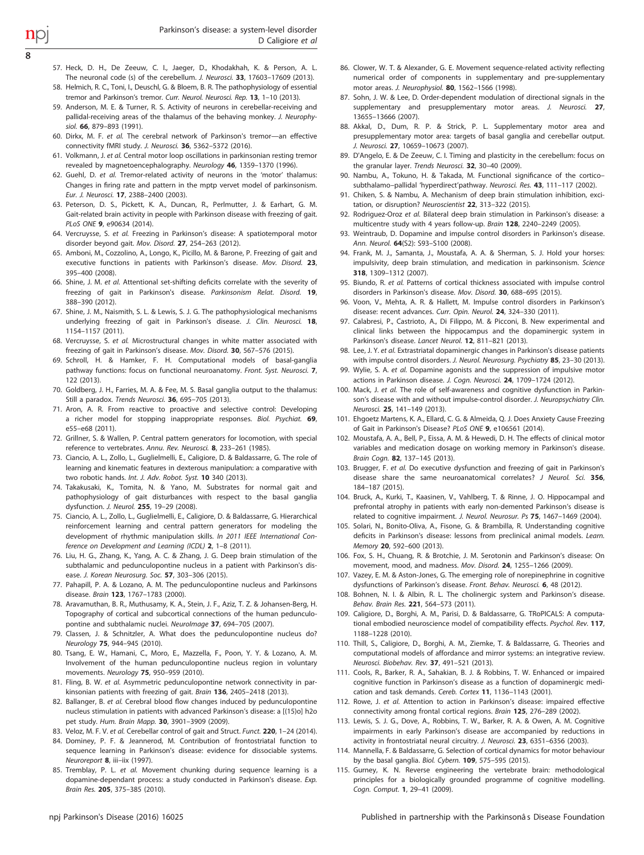- 57. Heck, D. H., De Zeeuw, C. I., Jaeger, D., Khodakhah, K. & Person, A. L. The neuronal code (s) of the cerebellum. J. Neurosci. 33, 17603–17609 (2013).
- 58. Helmich, R. C., Toni, I., Deuschl, G. & Bloem, B. R. The pathophysiology of essential tremor and Parkinson's tremor. Curr. Neurol. Neurosci. Rep. 13, 1-10 (2013).
- 59. Anderson, M. E. & Turner, R. S. Activity of neurons in cerebellar-receiving and pallidal-receiving areas of the thalamus of the behaving monkey. J. Neurophysiol. 66, 879–893 (1991).
- 60. Dirkx, M. F. et al. The cerebral network of Parkinson's tremor—an effective connectivity fMRI study. J. Neurosci. 36, 5362–5372 (2016).
- 61. Volkmann, J. et al. Central motor loop oscillations in parkinsonian resting tremor revealed by magnetoencephalography. Neurology 46, 1359–1370 (1996).
- 62. Guehl, D. et al. Tremor-related activity of neurons in the 'motor' thalamus: Changes in firing rate and pattern in the mptp vervet model of parkinsonism. Eur. J. Neurosci. 17, 2388–2400 (2003).
- 63. Peterson, D. S., Pickett, K. A., Duncan, R., Perlmutter, J. & Earhart, G. M. Gait-related brain activity in people with Parkinson disease with freezing of gait. PLoS ONE 9, e90634 (2014).
- 64. Vercruysse, S. et al. Freezing in Parkinson's disease: A spatiotemporal motor disorder beyond gait. Mov. Disord. 27, 254–263 (2012).
- 65. Amboni, M., Cozzolino, A., Longo, K., Picillo, M. & Barone, P. Freezing of gait and executive functions in patients with Parkinson's disease. Mov. Disord. 23, 395–400 (2008).
- 66. Shine, J. M. et al. Attentional set-shifting deficits correlate with the severity of freezing of gait in Parkinson's disease. Parkinsonism Relat. Disord. 19, 388–390 (2012).
- 67. Shine, J. M., Naismith, S. L. & Lewis, S. J. G. The pathophysiological mechanisms underlying freezing of gait in Parkinson's disease. J. Clin. Neurosci. 18, 1154–1157 (2011).
- 68. Vercruysse, S. et al. Microstructural changes in white matter associated with freezing of gait in Parkinson's disease. Mov. Disord. 30, 567–576 (2015).
- 69. Schroll, H. & Hamker, F. H. Computational models of basal-ganglia pathway functions: focus on functional neuroanatomy. Front. Syst. Neurosci. 7, 122 (2013).
- 70. Goldberg, J. H., Farries, M. A. & Fee, M. S. Basal ganglia output to the thalamus: Still a paradox. Trends Neurosci. **36**, 695-705 (2013).
- 71. Aron, A. R. From reactive to proactive and selective control: Developing a richer model for stopping inappropriate responses. Biol. Psychiat. 69, e55–e68 (2011).
- 72. Grillner, S. & Wallen, P. Central pattern generators for locomotion, with special reference to vertebrates. Annu. Rev. Neurosci. 8, 233–261 (1985).
- 73. Ciancio, A. L., Zollo, L., Guglielmelli, E., Caligiore, D. & Baldassarre, G. The role of learning and kinematic features in dexterous manipulation: a comparative with two robotic hands. Int. J. Adv. Robot. Syst. 10 340 (2013).
- 74. Takakusaki, K., Tomita, N. & Yano, M. Substrates for normal gait and pathophysiology of gait disturbances with respect to the basal ganglia dysfunction. J. Neurol. 255, 19–29 (2008).
- 75. Ciancio, A. L., Zollo, L., Guglielmelli, E., Caligiore, D. & Baldassarre, G. Hierarchical reinforcement learning and central pattern generators for modeling the development of rhythmic manipulation skills. In 2011 IEEE International Conference on Development and Learning (ICDL) 2, 1–8 (2011).
- 76. Liu, H. G., Zhang, K., Yang, A. C. & Zhang, J. G. Deep brain stimulation of the subthalamic and pedunculopontine nucleus in a patient with Parkinson's disease. J. Korean Neurosurg. Soc. 57, 303-306 (2015).
- 77. Pahapill, P. A. & Lozano, A. M. The pedunculopontine nucleus and Parkinsons disease. Brain 123, 1767–1783 (2000).
- 78. Aravamuthan, B. R., Muthusamy, K. A., Stein, J. F., Aziz, T. Z. & Johansen-Berg, H. Topography of cortical and subcortical connections of the human pedunculopontine and subthalamic nuclei. NeuroImage 37, 694-705 (2007).
- 79. Classen, J. & Schnitzler, A. What does the pedunculopontine nucleus do? Neurology 75, 944–945 (2010).
- 80. Tsang, E. W., Hamani, C., Moro, E., Mazzella, F., Poon, Y. Y. & Lozano, A. M. Involvement of the human pedunculopontine nucleus region in voluntary movements. Neurology 75, 950–959 (2010).
- 81. Fling, B. W. et al. Asymmetric pedunculopontine network connectivity in parkinsonian patients with freezing of gait. Brain 136, 2405-2418 (2013).
- 82. Ballanger, B. et al. Cerebral blood flow changes induced by pedunculopontine nucleus stimulation in patients with advanced Parkinson's disease: a [(15)o] h2o pet study. Hum. Brain Mapp. 30, 3901–3909 (2009).
- 83. Veloz, M. F. V. et al. Cerebellar control of gait and Struct. Funct. 220, 1-24 (2014).
- 84. Dominey, P. F. & Jeannerod, M. Contribution of frontostriatal function to sequence learning in Parkinson's disease: evidence for dissociable systems. Neuroreport 8, iii–iix (1997).
- 85. Tremblay, P. L. et al. Movement chunking during sequence learning is a dopamine-dependant process: a study conducted in Parkinson's disease. Exp. Brain Res. 205, 375–385 (2010).
- 86. Clower, W. T. & Alexander, G. E. Movement sequence-related activity reflecting numerical order of components in supplementary and pre-supplementary motor areas. J. Neurophysiol. 80, 1562–1566 (1998).
- 87. Sohn, J. W. & Lee, D. Order-dependent modulation of directional signals in the supplementary and presupplementary motor areas. J. Neurosci. 27, 13655–13666 (2007).
- 88. Akkal, D., Dum, R. P. & Strick, P. L. Supplementary motor area and presupplementary motor area: targets of basal ganglia and cerebellar output. J. Neurosci. 27, 10659–10673 (2007).
- 89. D'Angelo, E. & De Zeeuw, C. I. Timing and plasticity in the cerebellum: focus on the granular layer. Trends Neurosci. 32, 30-40 (2009).
- 90. Nambu, A., Tokuno, H. & Takada, M. Functional significance of the cortico– subthalamo-pallidal 'hyperdirect'pathway. Neurosci. Res. 43, 111-117 (2002).
- 91. Chiken, S. & Nambu, A. Mechanism of deep brain stimulation inhibition, excitation, or disruption? Neuroscientist 22, 313–322 (2015).
- 92. Rodriguez-Oroz et al. Bilateral deep brain stimulation in Parkinson's disease: a multicentre study with 4 years follow-up. Brain 128, 2240–2249 (2005).
- 93. Weintraub, D. Dopamine and impulse control disorders in Parkinson's disease. Ann. Neurol. 64(S2): S93-S100 (2008).
- 94. Frank, M. J., Samanta, J., Moustafa, A. A. & Sherman, S. J. Hold your horses: impulsivity, deep brain stimulation, and medication in parkinsonism. Science 318, 1309–1312 (2007).
- 95. Biundo, R. et al. Patterns of cortical thickness associated with impulse control disorders in Parkinson's disease. Mov. Disord. 30, 688–695 (2015).
- 96. Voon, V., Mehta, A. R. & Hallett, M. Impulse control disorders in Parkinson's disease: recent advances. Curr. Opin. Neurol. 24, 324–330 (2011).
- 97. Calabresi, P., Castrioto, A., Di Filippo, M. & Picconi, B. New experimental and clinical links between the hippocampus and the dopaminergic system in Parkinson's disease. Lancet Neurol. 12, 811-821 (2013).
- 98. Lee, J. Y. et al. Extrastriatal dopaminergic changes in Parkinson's disease patients with impulse control disorders. J. Neurol. Neurosurg. Psychiatry 85, 23-30 (2013).
- 99. Wylie, S. A. et al. Dopamine agonists and the suppression of impulsive motor actions in Parkinson disease. J. Cogn. Neurosci. 24, 1709–1724 (2012).
- 100. Mack, J. et al. The role of self-awareness and cognitive dysfunction in Parkinson's disease with and without impulse-control disorder. J. Neuropsychiatry Clin. Neurosci. 25, 141–149 (2013).
- 101. Ehgoetz Martens, K. A., Ellard, C. G. & Almeida, Q. J. Does Anxiety Cause Freezing of Gait in Parkinson's Disease? PLoS ONE 9, e106561 (2014).
- 102. Moustafa, A. A., Bell, P., Eissa, A. M. & Hewedi, D. H. The effects of clinical motor variables and medication dosage on working memory in Parkinson's disease. Brain Cogn. 82, 137–145 (2013).
- 103. Brugger, F. et al. Do executive dysfunction and freezing of gait in Parkinson's disease share the same neuroanatomical correlates? J Neurol. Sci. 356, 184–187 (2015).
- 104. Bruck, A., Kurki, T., Kaasinen, V., Vahlberg, T. & Rinne, J. O. Hippocampal and prefrontal atrophy in patients with early non-demented Parkinson's disease is related to cognitive impairment. J. Neurol. Neurosur. Ps 75, 1467-1469 (2004).
- 105. Solari, N., Bonito-Oliva, A., Fisone, G. & Brambilla, R. Understanding cognitive deficits in Parkinson's disease: lessons from preclinical animal models. Learn. Memory 20, 592–600 (2013).
- 106. Fox, S. H., Chuang, R. & Brotchie, J. M. Serotonin and Parkinson's disease: On movement, mood, and madness. Mov. Disord. 24, 1255–1266 (2009).
- Vazey, E. M. & Aston-Jones, G. The emerging role of norepinephrine in cognitive dysfunctions of Parkinson's disease. Front. Behav. Neurosci. 6, 48 (2012).
- 108. Bohnen, N. I. & Albin, R. L. The cholinergic system and Parkinson's disease. Behav. Brain Res. 221, 564–573 (2011).
- 109. Caligiore, D., Borghi, A. M., Parisi, D. & Baldassarre, G. TRoPICALS: A computational embodied neuroscience model of compatibility effects. Psychol. Rev. 117, 1188–1228 (2010).
- 110. Thill, S., Caligiore, D., Borghi, A. M., Ziemke, T. & Baldassarre, G. Theories and computational models of affordance and mirror systems: an integrative review. Neurosci. Biobehav. Rev. 37, 491–521 (2013).
- 111. Cools, R., Barker, R. A., Sahakian, B. J. & Robbins, T. W. Enhanced or impaired cognitive function in Parkinson's disease as a function of dopaminergic medication and task demands. Cereb. Cortex 11, 1136–1143 (2001).
- 112. Rowe, J. et al. Attention to action in Parkinson's disease: impaired effective connectivity among frontal cortical regions. Brain 125, 276–289 (2002).
- 113. Lewis, S. J. G., Dove, A., Robbins, T. W., Barker, R. A. & Owen, A. M. Cognitive impairments in early Parkinson's disease are accompanied by reductions in activity in frontostriatal neural circuitry. J. Neurosci. 23, 6351-6356 (2003).
- 114. Mannella, F. & Baldassarre, G. Selection of cortical dynamics for motor behaviour by the basal ganglia. Biol. Cybern. 109, 575-595 (2015).
- 115. Gurney, K. N. Reverse engineering the vertebrate brain: methodological principles for a biologically grounded programme of cognitive modelling. Cogn. Comput. 1, 29–41 (2009).

<span id="page-8-0"></span>8